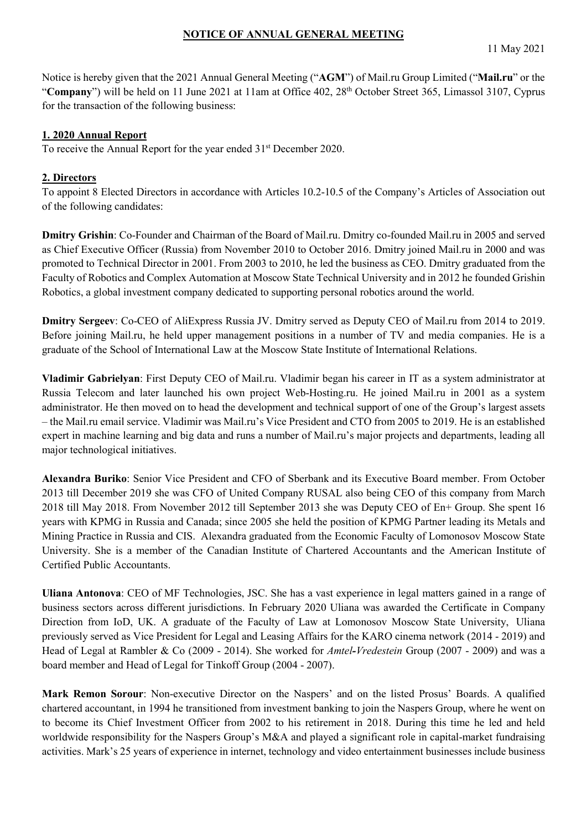### **NOTICE OF ANNUAL GENERAL MEETING**

Notice is hereby given that the 2021 Annual General Meeting ("**AGM**") of Mail.ru Group Limited ("**Mail.ru**" or the "Company") will be held on 11 June 2021 at 11am at Office 402, 28<sup>th</sup> October Street 365, Limassol 3107, Cyprus for the transaction of the following business:

# **1. 2020 Annual Report**

To receive the Annual Report for the year ended 31<sup>st</sup> December 2020.

# **2. Directors**

To appoint 8 Elected Directors in accordance with Articles 10.2-10.5 of the Company's Articles of Association out of the following candidates:

**Dmitry Grishin**: Co-Founder and Chairman of the Board of Mail.ru. Dmitry co-founded Mail.ru in 2005 and served as Chief Executive Officer (Russia) from November 2010 to October 2016. Dmitry joined Mail.ru in 2000 and was promoted to Technical Director in 2001. From 2003 to 2010, he led the business as CEO. Dmitry graduated from the Faculty of Robotics and Complex Automation at Moscow State Technical University and in 2012 he founded Grishin Robotics, a global investment company dedicated to supporting personal robotics around the world.

**Dmitry Sergeev**: Co-CEO of AliExpress Russia JV. Dmitry served as Deputy CEO of Mail.ru from 2014 to 2019. Before joining Mail.ru, he held upper management positions in a number of TV and media companies. He is a graduate of the School of International Law at the Moscow State Institute of International Relations.

**Vladimir Gabrielyan**: First Deputy CEO of Mail.ru. Vladimir began his career in IT as a system administrator at Russia Telecom and later launched his own project Web-Hosting.ru. He joined Mail.ru in 2001 as a system administrator. He then moved on to head the development and technical support of one of the Group's largest assets – the Mail.ru email service. Vladimir was Mail.ru's Vice President and CTO from 2005 to 2019. He is an established expert in machine learning and big data and runs a number of Mail.ru's major projects and departments, leading all major technological initiatives.

**Alexandra Buriko**: Senior Vice President and CFO of Sberbank and its Executive Board member. From October 2013 till December 2019 she was CFO of United Company RUSAL also being CEO of this company from March 2018 till May 2018. From November 2012 till September 2013 she was Deputy CEO of En+ Group. She spent 16 years with KPMG in Russia and Canada; since 2005 she held the position of KPMG Partner leading its Metals and Mining Practice in Russia and CIS. Alexandra graduated from the Economic Faculty of Lomonosov Moscow State University. She is a member of the Canadian Institute of Chartered Accountants and the American Institute of Certified Public Accountants.

**Uliana Antonova**: CEO of MF Technologies, JSC. She has a vast experience in legal matters gained in a range of business sectors across different jurisdictions. In February 2020 Uliana was awarded the Certificate in Company Direction from IoD, UK. A graduate of the Faculty of Law at Lomonosov Moscow State University, Uliana previously served as Vice President for Legal and Leasing Affairs for the KARO cinema network (2014 - 2019) and Head of Legal at Rambler & Co (2009 - 2014). She worked for *Amtel-Vredestein* Group (2007 - 2009) and was a board member and Head of Legal for Tinkoff Group (2004 - 2007).

**Mark Remon Sorour**: Non-executive Director on the Naspers' and on the listed Prosus' Boards. A qualified chartered accountant, in 1994 he transitioned from investment banking to join the Naspers Group, where he went on to become its Chief Investment Officer from 2002 to his retirement in 2018. During this time he led and held worldwide responsibility for the Naspers Group's M&A and played a significant role in capital-market fundraising activities. Mark's 25 years of experience in internet, technology and video entertainment businesses include business